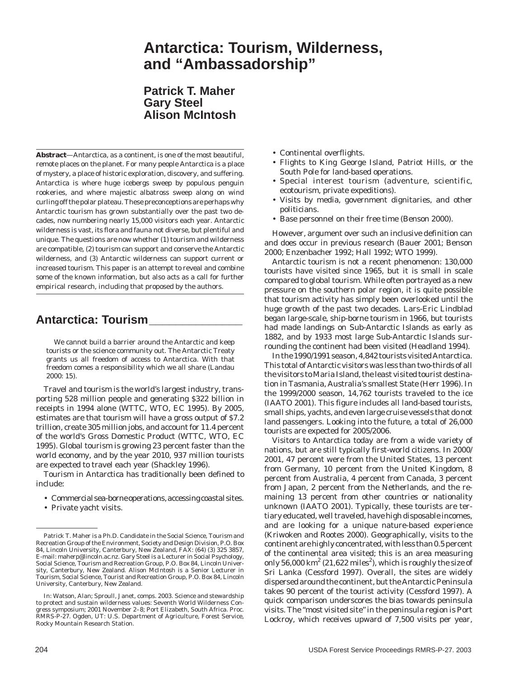# **Antarctica: Tourism, Wilderness, and "Ambassadorship"**

**Patrick T. Maher Gary Steel Alison McIntosh**

**Abstract**—Antarctica, as a continent, is one of the most beautiful, remote places on the planet. For many people Antarctica is a place of mystery, a place of historic exploration, discovery, and suffering. Antarctica is where huge icebergs sweep by populous penguin rookeries, and where majestic albatross sweep along on wind curling off the polar plateau. These preconceptions are perhaps why Antarctic tourism has grown substantially over the past two decades, now numbering nearly 15,000 visitors each year. Antarctic wilderness is vast, its flora and fauna not diverse, but plentiful and unique. The questions are now whether (1) tourism and wilderness are compatible, (2) tourism can support and conserve the Antarctic wilderness, and (3) Antarctic wilderness can support current or increased tourism. This paper is an attempt to reveal and combine some of the known information, but also acts as a call for further empirical research, including that proposed by the authors.

## **Antarctica: Tourism\_\_\_\_\_\_\_\_\_\_\_\_\_\_**

We cannot build a barrier around the Antarctic and keep tourists or the science community out. The Antarctic Treaty grants us all freedom of access to Antarctica. With that freedom comes a responsibility which we all share (Landau 2000: 15).

Travel and tourism is the world's largest industry, transporting 528 million people and generating \$322 billion in receipts in 1994 alone (WTTC, WTO, EC 1995). By 2005, estimates are that tourism will have a gross output of \$7.2 trillion, create 305 million jobs, and account for 11.4 percent of the world's Gross Domestic Product (WTTC, WTO, EC 1995). Global tourism is growing 23 percent faster than the world economy, and by the year 2010, 937 million tourists are expected to travel each year (Shackley 1996).

Tourism in Antarctica has traditionally been defined to include:

- Commercial sea-borne operations, accessing coastal sites.
- Private yacht visits.
- Continental overflights.
- Flights to King George Island, Patriot Hills, or the South Pole for land-based operations.
- Special interest tourism (adventure, scientific, ecotourism, private expeditions).
- Visits by media, government dignitaries, and other politicians.
- Base personnel on their free time (Benson 2000).

However, argument over such an inclusive definition can and does occur in previous research (Bauer 2001; Benson 2000; Enzenbacher 1992; Hall 1992; WTO 1999).

Antarctic tourism is not a recent phenomenon: 130,000 tourists have visited since 1965, but it is small in scale compared to global tourism. While often portrayed as a new pressure on the southern polar region, it is quite possible that tourism activity has simply been overlooked until the huge growth of the past two decades. Lars-Eric Lindblad began large-scale, ship-borne tourism in 1966, but tourists had made landings on Sub-Antarctic Islands as early as 1882, and by 1933 most large Sub-Antarctic Islands surrounding the continent had been visited (Headland 1994).

In the 1990/1991 season, 4,842 tourists visited Antarctica. This total of Antarctic visitors was less than two-thirds of all the visitors to Maria Island, the least visited tourist destination in Tasmania, Australia's smallest State (Herr 1996). In the 1999/2000 season, 14,762 tourists traveled to the ice (IAATO 2001). This figure includes all land-based tourists, small ships, yachts, and even large cruise vessels that do not land passengers. Looking into the future, a total of 26,000 tourists are expected for 2005/2006.

Visitors to Antarctica today are from a wide variety of nations, but are still typically first-world citizens. In 2000/ 2001, 47 percent were from the United States, 13 percent from Germany, 10 percent from the United Kingdom, 8 percent from Australia, 4 percent from Canada, 3 percent from Japan, 2 percent from the Netherlands, and the remaining 13 percent from other countries or nationality unknown (IAATO 2001). Typically, these tourists are tertiary educated, well traveled, have high disposable incomes, and are looking for a unique nature-based experience (Kriwoken and Rootes 2000). Geographically, visits to the continent are highly concentrated, with less than 0.5 percent of the continental area visited; this is an area measuring only 56,000 km $^{2}$  (21,622 miles $^{2}$ ), which is roughly the size of Sri Lanka (Cessford 1997). Overall, the sites are widely dispersed around the continent, but the Antarctic Peninsula takes 90 percent of the tourist activity (Cessford 1997). A quick comparison underscores the bias towards peninsula visits. The "most visited site" in the peninsula region is Port Lockroy, which receives upward of 7,500 visits per year,

Patrick T. Maher is a Ph.D. Candidate in the Social Science, Tourism and Recreation Group of the Environment, Society and Design Division, P.O. Box 84, Lincoln University, Canterbury, New Zealand, FAX: (64) (3) 325 3857, E-mail: maherp@lincoln.ac.nz. Gary Steel is a Lecturer in Social Psychology, Social Science, Tourism and Recreation Group, P.O. Box 84, Lincoln University, Canterbury, New Zealand. Alison McIntosh is a Senior Lecturer in Tourism, Social Science, Tourist and Recreation Group, P.O. Box 84, Lincoln University, Canterbury, New Zealand.

In: Watson, Alan; Sproull, Janet, comps. 2003. Science and stewardship to protect and sustain wilderness values: Seventh World Wilderness Congress symposium; 2001 November 2–8; Port Elizabeth, South Africa. Proc. RMRS-P-27. Ogden, UT: U.S. Department of Agriculture, Forest Service, Rocky Mountain Research Station.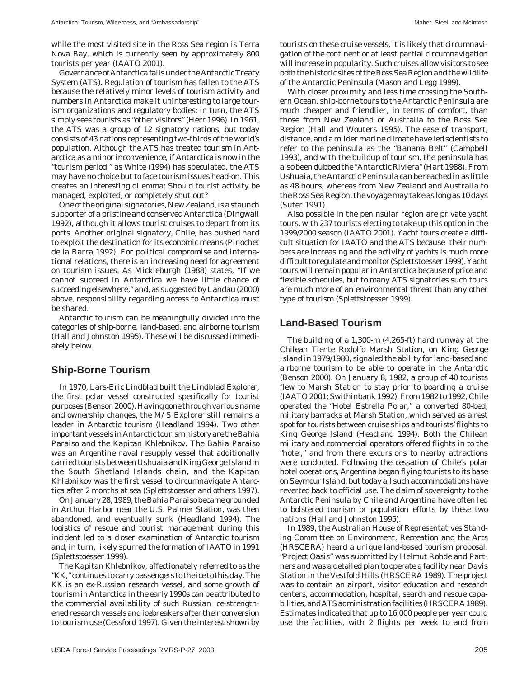while the most visited site in the Ross Sea region is Terra Nova Bay, which is currently seen by approximately 800 tourists per year (IAATO 2001).

Governance of Antarctica falls under the Antarctic Treaty System (ATS). Regulation of tourism has fallen to the ATS because the relatively minor levels of tourism activity and numbers in Antarctica make it uninteresting to large tourism organizations and regulatory bodies; in turn, the ATS simply sees tourists as "other visitors" (Herr 1996). In 1961, the ATS was a group of 12 signatory nations, but today consists of 43 nations representing two-thirds of the world's population. Although the ATS has treated tourism in Antarctica as a minor inconvenience, if Antarctica is now in the "tourism period," as White (1994) has speculated, the ATS may have no choice but to face tourism issues head-on. This creates an interesting dilemma: Should tourist activity be managed, exploited, or completely shut out?

One of the original signatories, New Zealand, is a staunch supporter of a pristine and conserved Antarctica (Dingwall 1992), although it allows tourist cruises to depart from its ports. Another original signatory, Chile, has pushed hard to exploit the destination for its economic means (Pinochet de la Barra 1992). For political compromise and international relations, there is an increasing need for agreement on tourism issues. As Mickleburgh (1988) states, "If we cannot succeed in Antarctica we have little chance of succeeding elsewhere," and, as suggested by Landau (2000) above, responsibility regarding access to Antarctica must be shared.

Antarctic tourism can be meaningfully divided into the categories of ship-borne, land-based, and airborne tourism (Hall and Johnston 1995). These will be discussed immediately below.

#### **Ship-Borne Tourism**

In 1970, Lars-Eric Lindblad built the *Lindblad Explorer*, the first polar vessel constructed specifically for tourist purposes (Benson 2000). Having gone through various name and ownership changes, the *M/S Explorer* still remains a leader in Antarctic tourism (Headland 1994). Two other important vessels in Antarctic tourism history are the *Bahia Paraiso* and the *Kapitan Khlebnikov*. The *Bahia Paraiso* was an Argentine naval resupply vessel that additionally carried tourists between Ushuaia and King George Island in the South Shetland Islands chain, and the *Kapitan Khlebnikov* was the first vessel to circumnavigate Antarctica after 2 months at sea (Splettstoesser and others 1997).

On January 28, 1989, the *Bahia Paraiso* became grounded in Arthur Harbor near the U.S. Palmer Station, was then abandoned, and eventually sunk (Headland 1994). The logistics of rescue and tourist management during this incident led to a closer examination of Antarctic tourism and, in turn, likely spurred the formation of IAATO in 1991 (Splettstoesser 1999).

The *Kapitan Khlebnikov*, affectionately referred to as the "*KK,*" continues to carry passengers to the ice to this day. The *KK* is an ex-Russian research vessel, and some growth of tourism in Antarctica in the early 1990s can be attributed to the commercial availability of such Russian ice-strengthened research vessels and icebreakers after their conversion to tourism use (Cessford 1997). Given the interest shown by tourists on these cruise vessels, it is likely that circumnavigation of the continent or at least partial circumnavigation will increase in popularity. Such cruises allow visitors to see both the historic sites of the Ross Sea Region and the wildlife of the Antarctic Peninsula (Mason and Legg 1999).

With closer proximity and less time crossing the Southern Ocean, ship-borne tours to the Antarctic Peninsula are much cheaper and friendlier, in terms of comfort, than those from New Zealand or Australia to the Ross Sea Region (Hall and Wouters 1995). The ease of transport, distance, and a milder marine climate have led scientists to refer to the peninsula as the "Banana Belt" (Campbell 1993), and with the buildup of tourism, the peninsula has also been dubbed the "Antarctic Riviera" (Hart 1988). From Ushuaia, the Antarctic Peninsula can be reached in as little as 48 hours, whereas from New Zealand and Australia to the Ross Sea Region, the voyage may take as long as 10 days (Suter 1991).

Also possible in the peninsular region are private yacht tours, with 237 tourists electing to take up this option in the 1999/2000 season (IAATO 2001). Yacht tours create a difficult situation for IAATO and the ATS because their numbers are increasing and the activity of yachts is much more difficult to regulate and monitor (Splettstoesser 1999). Yacht tours will remain popular in Antarctica because of price and flexible schedules, but to many ATS signatories such tours are much more of an environmental threat than any other type of tourism (Splettstoesser 1999).

#### **Land-Based Tourism**

The building of a 1,300-m (4,265-ft) hard runway at the Chilean Tiente Rodolfo Marsh Station, on King George Island in 1979/1980, signaled the ability for land-based and airborne tourism to be able to operate in the Antarctic (Benson 2000). On January 8, 1982, a group of 40 tourists flew to Marsh Station to stay prior to boarding a cruise (IAATO 2001; Swithinbank 1992). From 1982 to 1992, Chile operated the "Hotel Estrella Polar," a converted 80-bed, military barracks at Marsh Station, which served as a rest spot for tourists between cruise ships and tourists' flights to King George Island (Headland 1994). Both the Chilean military and commercial operators offered flights in to the "hotel," and from there excursions to nearby attractions were conducted. Following the cessation of Chile's polar hotel operations, Argentina began flying tourists to its base on Seymour Island, but today all such accommodations have reverted back to official use. The claim of sovereignty to the Antarctic Peninsula by Chile and Argentina have often led to bolstered tourism or population efforts by these two nations (Hall and Johnston 1995).

In 1989, the Australian House of Representatives Standing Committee on Environment, Recreation and the Arts (HRSCERA) heard a unique land-based tourism proposal. "Project Oasis" was submitted by Helmut Rohde and Partners and was a detailed plan to operate a facility near Davis Station in the Vestfold Hills (HRSCERA 1989). The project was to contain an airport, visitor education and research centers, accommodation, hospital, search and rescue capabilities, and ATS administration facilities (HRSCERA 1989). Estimates indicated that up to 16,000 people per year could use the facilities, with 2 flights per week to and from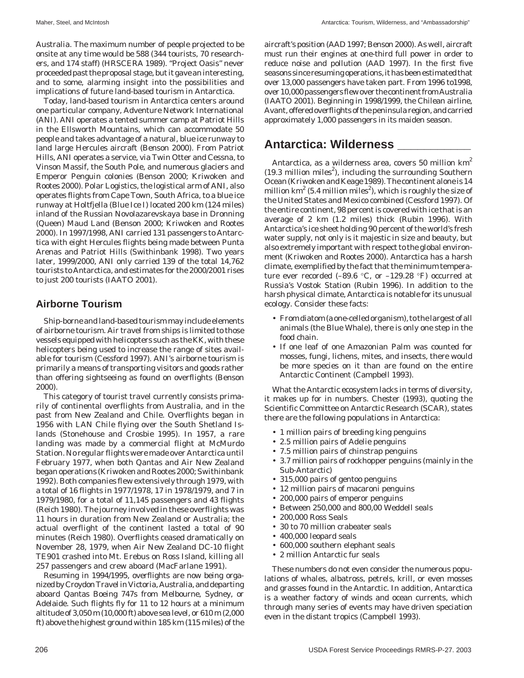Australia. The maximum number of people projected to be onsite at any time would be 588 (344 tourists, 70 researchers, and 174 staff) (HRSCERA 1989). "Project Oasis" never proceeded past the proposal stage, but it gave an interesting, and to some, alarming insight into the possibilities and implications of future land-based tourism in Antarctica.

Today, land-based tourism in Antarctica centers around one particular company, Adventure Network International (ANI). ANI operates a tented summer camp at Patriot Hills in the Ellsworth Mountains, which can accommodate 50 people and takes advantage of a natural, blue ice runway to land large Hercules aircraft (Benson 2000). From Patriot Hills, ANI operates a service, via Twin Otter and Cessna, to Vinson Massif, the South Pole, and numerous glaciers and Emperor Penguin colonies (Benson 2000; Kriwoken and Rootes 2000). Polar Logistics, the logistical arm of ANI, also operates flights from Cape Town, South Africa, to a blue ice runway at Holtfjella (Blue Ice I) located 200 km (124 miles) inland of the Russian Novolazarevskaya base in Dronning (Queen) Maud Land (Benson 2000; Kriwoken and Rootes 2000). In 1997/1998, ANI carried 131 passengers to Antarctica with eight Hercules flights being made between Punta Arenas and Patriot Hills (Swithinbank 1998). Two years later, 1999/2000, ANI only carried 139 of the total 14,762 tourists to Antarctica, and estimates for the 2000/2001 rises to just 200 tourists (IAATO 2001).

#### **Airborne Tourism**

Ship-borne and land-based tourism may include elements of airborne tourism. Air travel from ships is limited to those vessels equipped with helicopters such as the *KK*, with these helicopters being used to increase the range of sites available for tourism (Cessford 1997). ANI's airborne tourism is primarily a means of transporting visitors and goods rather than offering sightseeing as found on overflights (Benson 2000).

This category of tourist travel currently consists primarily of continental overflights from Australia, and in the past from New Zealand and Chile. Overflights began in 1956 with LAN Chile flying over the South Shetland Islands (Stonehouse and Crosbie 1995). In 1957, a rare landing was made by a commercial flight at McMurdo Station. No regular flights were made over Antarctica until February 1977, when both Qantas and Air New Zealand began operations (Kriwoken and Rootes 2000; Swithinbank 1992). Both companies flew extensively through 1979, with a total of 16 flights in 1977/1978, 17 in 1978/1979, and 7 in 1979/1980, for a total of 11,145 passengers and 43 flights (Reich 1980). The journey involved in these overflights was 11 hours in duration from New Zealand or Australia; the actual overflight of the continent lasted a total of 90 minutes (Reich 1980). Overflights ceased dramatically on November 28, 1979, when Air New Zealand DC-10 flight TE901 crashed into Mt. Erebus on Ross Island, killing all 257 passengers and crew aboard (MacFarlane 1991).

Resuming in 1994/1995, overflights are now being organized by Croydon Travel in Victoria, Australia, and departing aboard Qantas Boeing 747s from Melbourne, Sydney, or Adelaide. Such flights fly for 11 to 12 hours at a minimum altitude of 3,050 m (10,000 ft) above sea level, or 610 m (2,000 ft) above the highest ground within 185 km (115 miles) of the aircraft's position (AAD 1997; Benson 2000). As well, aircraft must run their engines at one-third full power in order to reduce noise and pollution (AAD 1997). In the first five seasons since resuming operations, it has been estimated that over 13,000 passengers have taken part. From 1996 to1998, over 10,000 passengers flew over the continent from Australia (IAATO 2001). Beginning in 1998/1999, the Chilean airline, Avant, offered overflights of the peninsula region, and carried approximately 1,000 passengers in its maiden season.

### **Antarctica: Wilderness \_\_\_\_\_\_\_\_\_\_\_**

Antarctica, as a wilderness area, covers 50 million  $km^2$  $(19.3 \text{ million miles}^2)$ , including the surrounding Southern Ocean (Kriwoken and Keage 1989). The continent alone is 14 million km<sup>2</sup> (5.4 million miles<sup>2</sup>), which is roughly the size of the United States and Mexico combined (Cessford 1997). Of the entire continent, 98 percent is covered with ice that is an average of 2 km (1.2 miles) thick (Rubin 1996). With Antarctica's ice sheet holding 90 percent of the world's fresh water supply, not only is it majestic in size and beauty, but also extremely important with respect to the global environment (Kriwoken and Rootes 2000). Antarctica has a harsh climate, exemplified by the fact that the minimum temperature ever recorded (–89.6  $°C$ , or –129.28 °F) occurred at Russia's Vostok Station (Rubin 1996). In addition to the harsh physical climate, Antarctica is notable for its unusual ecology. Consider these facts:

- From diatom (a one-celled organism), to the largest of all animals (the Blue Whale), there is only one step in the food chain.
- If one leaf of one Amazonian Palm was counted for mosses, fungi, lichens, mites, and insects, there would be more species on it than are found on the entire Antarctic Continent (Campbell 1993).

What the Antarctic ecosystem lacks in terms of diversity, it makes up for in numbers. Chester (1993), quoting the Scientific Committee on Antarctic Research (SCAR), states there are the following populations in Antarctica:

- 1 million pairs of breeding king penguins
- 2.5 million pairs of Adelie penguins
- 7.5 million pairs of chinstrap penguins
- 3.7 million pairs of rockhopper penguins (mainly in the Sub-Antarctic)
- 315,000 pairs of gentoo penguins
- 12 million pairs of macaroni penguins
- 200,000 pairs of emperor penguins
- Between 250,000 and 800,00 Weddell seals
- 200,000 Ross Seals
- 30 to 70 million crabeater seals
- 400,000 leopard seals
- 600,000 southern elephant seals
- 2 million Antarctic fur seals

These numbers do not even consider the numerous populations of whales, albatross, petrels, krill, or even mosses and grasses found in the Antarctic. In addition, Antarctica is a weather factory of winds and ocean currents, which through many series of events may have driven speciation even in the distant tropics (Campbell 1993).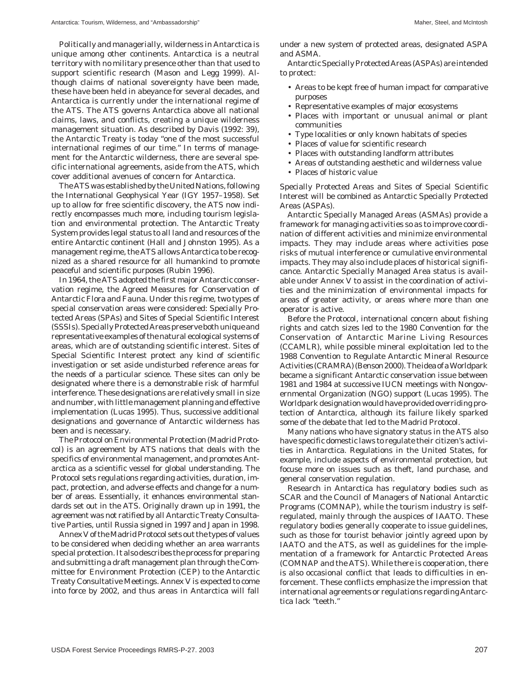Politically and managerially, wilderness in Antarctica is unique among other continents. Antarctica is a neutral territory with no military presence other than that used to support scientific research (Mason and Legg 1999). Although claims of national sovereignty have been made, these have been held in abeyance for several decades, and Antarctica is currently under the international regime of the ATS. The ATS governs Antarctica above all national claims, laws, and conflicts, creating a unique wilderness management situation. As described by Davis (1992: 39), the Antarctic Treaty is today "one of the most successful international regimes of our time." In terms of management for the Antarctic wilderness, there are several specific international agreements, aside from the ATS, which cover additional avenues of concern for Antarctica.

The ATS was established by the United Nations, following the International Geophysical Year (IGY 1957–1958). Set up to allow for free scientific discovery, the ATS now indirectly encompasses much more, including tourism legislation and environmental protection. The Antarctic Treaty System provides legal status to all land and resources of the entire Antarctic continent (Hall and Johnston 1995). As a management regime, the ATS allows Antarctica to be recognized as a shared resource for all humankind to promote peaceful and scientific purposes (Rubin 1996).

In 1964, the ATS adopted the first major Antarctic conservation regime, the Agreed Measures for Conservation of Antarctic Flora and Fauna. Under this regime, two types of special conservation areas were considered: Specially Protected Areas (SPAs) and Sites of Special Scientific Interest (SSSIs). Specially Protected Areas preserve both unique and representative examples of the natural ecological systems of areas, which are of outstanding scientific interest. Sites of Special Scientific Interest protect any kind of scientific investigation or set aside undisturbed reference areas for the needs of a particular science. These sites can only be designated where there is a demonstrable risk of harmful interference. These designations are relatively small in size and number, with little management planning and effective implementation (Lucas 1995). Thus, successive additional designations and governance of Antarctic wilderness has been and is necessary.

The Protocol on Environmental Protection (Madrid Protocol) is an agreement by ATS nations that deals with the specifics of environmental management, and promotes Antarctica as a scientific vessel for global understanding. The Protocol sets regulations regarding activities, duration, impact, protection, and adverse effects and change for a number of areas. Essentially, it enhances environmental standards set out in the ATS. Originally drawn up in 1991, the agreement was not ratified by all Antarctic Treaty Consultative Parties, until Russia signed in 1997 and Japan in 1998.

Annex V of the Madrid Protocol sets out the types of values to be considered when deciding whether an area warrants special protection. It also describes the process for preparing and submitting a draft management plan through the Committee for Environment Protection (CEP) to the Antarctic Treaty Consultative Meetings. Annex V is expected to come into force by 2002, and thus areas in Antarctica will fall

under a new system of protected areas, designated ASPA and ASMA.

Antarctic Specially Protected Areas (ASPAs) are intended to protect:

- Areas to be kept free of human impact for comparative purposes
- Representative examples of major ecosystems
- Places with important or unusual animal or plant communities
- Type localities or only known habitats of species
- Places of value for scientific research
- Places with outstanding landform attributes
- Areas of outstanding aesthetic and wilderness value
- Places of historic value

Specially Protected Areas and Sites of Special Scientific Interest will be combined as Antarctic Specially Protected Areas (ASPAs).

Antarctic Specially Managed Areas (ASMAs) provide a framework for managing activities so as to improve coordination of different activities and minimize environmental impacts. They may include areas where activities pose risks of mutual interference or cumulative environmental impacts. They may also include places of historical significance. Antarctic Specially Managed Area status is available under Annex V to assist in the coordination of activities and the minimization of environmental impacts for areas of greater activity, or areas where more than one operator is active.

Before the Protocol, international concern about fishing rights and catch sizes led to the 1980 Convention for the Conservation of Antarctic Marine Living Resources (CCAMLR), while possible mineral exploitation led to the 1988 Convention to Regulate Antarctic Mineral Resource Activities (CRAMRA) (Benson 2000). The idea of a Worldpark became a significant Antarctic conservation issue between 1981 and 1984 at successive IUCN meetings with Nongovernmental Organization (NGO) support (Lucas 1995). The Worldpark designation would have provided overriding protection of Antarctica, although its failure likely sparked some of the debate that led to the Madrid Protocol.

Many nations who have signatory status in the ATS also have specific domestic laws to regulate their citizen's activities in Antarctica. Regulations in the United States, for example, include aspects of environmental protection, but focuse more on issues such as theft, land purchase, and general conservation regulation.

Research in Antarctica has regulatory bodies such as SCAR and the Council of Managers of National Antarctic Programs (COMNAP), while the tourism industry is selfregulated, mainly through the auspices of IAATO. These regulatory bodies generally cooperate to issue guidelines, such as those for tourist behavior jointly agreed upon by IAATO and the ATS, as well as guidelines for the implementation of a framework for Antarctic Protected Areas (COMNAP and the ATS). While there is cooperation, there is also occasional conflict that leads to difficulties in enforcement. These conflicts emphasize the impression that international agreements or regulations regarding Antarctica lack "teeth."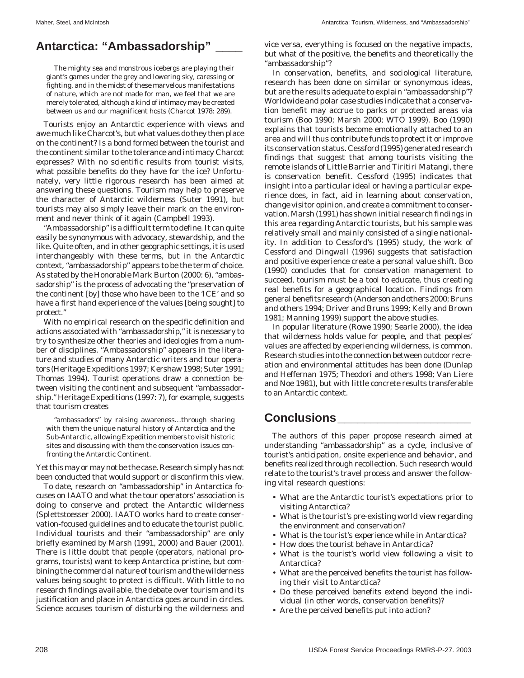## **Antarctica: "Ambassadorship" \_\_\_\_**

The mighty sea and monstrous icebergs are playing their giant's games under the grey and lowering sky, caressing or fighting, and in the midst of these marvelous manifestations of nature, which are not made for man, we feel that we are merely tolerated, although a kind of intimacy may be created between us and our magnificent hosts (Charcot 1978: 289).

Tourists enjoy an Antarctic experience with views and awe much like Charcot's, but what values do they then place on the continent? Is a bond formed between the tourist and the continent similar to the tolerance and intimacy Charcot expresses? With no scientific results from tourist visits, what possible benefits do they have for the ice? Unfortunately, very little rigorous research has been aimed at answering these questions. Tourism may help to preserve the character of Antarctic wilderness (Suter 1991), but tourists may also simply leave their mark on the environment and never think of it again (Campbell 1993).

"Ambassadorship" is a difficult term to define. It can quite easily be synonymous with advocacy, stewardship, and the like. Quite often, and in other geographic settings, it is used interchangeably with these terms, but in the Antarctic context, "ambassadorship" appears to be the term of choice. As stated by the Honorable Mark Burton (2000: 6), "ambassadorship" is the process of advocating the "preservation of the continent [by] those who have been to the 'ICE' and so have a first hand experience of the values [being sought] to protect."

With no empirical research on the specific definition and actions associated with "ambassadorship," it is necessary to try to synthesize other theories and ideologies from a number of disciplines. "Ambassadorship" appears in the literature and studies of many Antarctic writers and tour operators (Heritage Expeditions 1997; Kershaw 1998; Suter 1991; Thomas 1994). Tourist operations draw a connection between visiting the continent and subsequent "ambassadorship." Heritage Expeditions (1997: 7), for example, suggests that tourism creates

"ambassadors" by raising awareness…through sharing with them the unique natural history of Antarctica and the Sub-Antarctic, allowing Expedition members to visit historic sites and discussing with them the conservation issues confronting the Antarctic Continent.

Yet this may or may not be the case. Research simply has not been conducted that would support or disconfirm this view.

To date, research on "ambassadorship" in Antarctica focuses on IAATO and what the tour operators' association is doing to conserve and protect the Antarctic wilderness (Splettstoesser 2000). IAATO works hard to create conservation-focused guidelines and to educate the tourist public. Individual tourists and their "ambassadorship" are only briefly examined by Marsh (1991, 2000) and Bauer (2001). There is little doubt that people (operators, national programs, tourists) want to keep Antarctica pristine, but combining the commercial nature of tourism and the wilderness values being sought to protect is difficult. With little to no research findings available, the debate over tourism and its justification and place in Antarctica goes around in circles. Science accuses tourism of disturbing the wilderness and

vice versa, everything is focused on the negative impacts, but what of the positive, the benefits and theoretically the "ambassadorship"?

In conservation, benefits, and sociological literature, research has been done on similar or synonymous ideas, but are the results adequate to explain "ambassadorship"? Worldwide and polar case studies indicate that a conservation benefit may accrue to parks or protected areas via tourism (Boo 1990; Marsh 2000; WTO 1999). Boo (1990) explains that tourists become emotionally attached to an area and will thus contribute funds to protect it or improve its conservation status. Cessford (1995) generated research findings that suggest that among tourists visiting the remote islands of Little Barrier and Tiritiri Matangi, there is conservation benefit. Cessford (1995) indicates that insight into a particular ideal or having a particular experience does, in fact, aid in learning about conservation, change visitor opinion, and create a commitment to conservation. Marsh (1991) has shown initial research findings in this area regarding Antarctic tourists, but his sample was relatively small and mainly consisted of a single nationality. In addition to Cessford's (1995) study, the work of Cessford and Dingwall (1996) suggests that satisfaction and positive experience create a personal value shift. Boo (1990) concludes that for conservation management to succeed, tourism must be a tool to educate, thus creating real benefits for a geographical location. Findings from general benefits research (Anderson and others 2000; Bruns and others 1994; Driver and Bruns 1999; Kelly and Brown 1981; Manning 1999) support the above studies.

In popular literature (Rowe 1990; Searle 2000), the idea that wilderness holds value for people, and that peoples' values are affected by experiencing wilderness, is common. Research studies into the connection between outdoor recreation and environmental attitudes has been done (Dunlap and Heffernan 1975; Theodori and others 1998; Van Liere and Noe 1981), but with little concrete results transferable to an Antarctic context.

## **Conclusions\_\_\_\_\_\_\_\_\_\_\_\_\_\_\_\_\_\_\_\_**

The authors of this paper propose research aimed at understanding "ambassadorship" as a cycle, inclusive of tourist's anticipation, onsite experience and behavior, and benefits realized through recollection. Such research would relate to the tourist's travel process and answer the following vital research questions:

- What are the Antarctic tourist's expectations prior to visiting Antarctica?
- What is the tourist's pre-existing world view regarding the environment and conservation?
- What is the tourist's experience while in Antarctica?
- How does the tourist behave in Antarctica?
- What is the tourist's world view following a visit to Antarctica?
- What are the perceived benefits the tourist has following their visit to Antarctica?
- Do these perceived benefits extend beyond the individual (in other words, conservation benefits)?
- Are the perceived benefits put into action?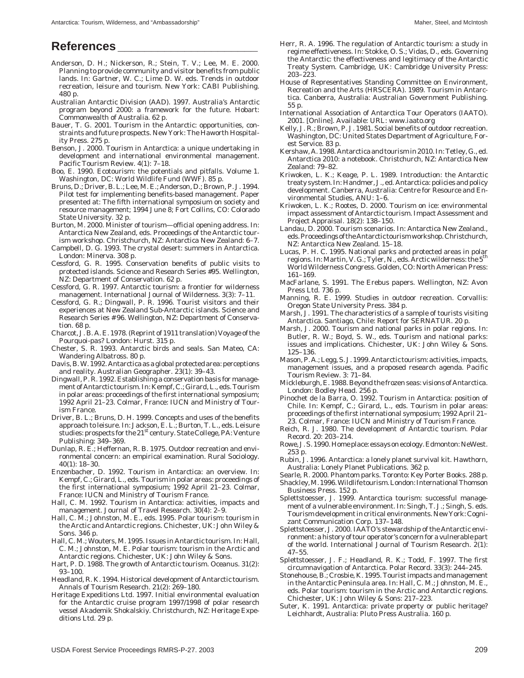### **References \_\_\_\_\_\_\_\_\_\_\_\_\_\_\_\_\_\_\_\_\_**

- Anderson, D. H.; Nickerson, R.; Stein, T. V.; Lee, M. E. 2000. Planning to provide community and visitor benefits from public lands. In: Gartner, W. C.; Lime D. W. eds. Trends in outdoor recreation, leisure and tourism. New York: CABI Publishing. 480 p.
- Australian Antarctic Division (AAD). 1997. Australia's Antarctic program beyond 2000: a framework for the future. Hobart: Commonwealth of Australia. 62 p.
- Bauer, T. G. 2001. Tourism in the Antarctic: opportunities, constraints and future prospects. New York: The Haworth Hospitality Press. 275 p.
- Benson, J. 2000. Tourism in Antarctica: a unique undertaking in development and international environmental management. Pacific Tourism Review. 4(1): 7–18.
- Boo, E. 1990. Ecotourism: the potentials and pitfalls. Volume 1. Washington, DC: World Wildlife Fund (WWF). 85 p.
- Bruns, D.; Driver, B. L.; Lee, M. E.; Anderson, D.; Brown, P. J. 1994. Pilot test for implementing benefits-based management. Paper presented at: The fifth international symposium on society and resource management; 1994 June 8; Fort Collins, CO: Colorado State University. 32 p.
- Burton, M. 2000. Minister of tourism—official opening address. In: Antarctica New Zealand, eds. Proceedings of the Antarctic tourism workshop. Christchurch, NZ: Antarctica New Zealand: 6–7.
- Campbell, D. G. 1993. The crystal desert: summers in Antarctica. London: Minerva. 308 p.
- Cessford, G. R. 1995. Conservation benefits of public visits to protected islands. Science and Research Series #95. Wellington, NZ: Department of Conservation. 62 p.
- Cessford, G. R. 1997. Antarctic tourism: a frontier for wilderness management. International Journal of Wilderness. 3(3): 7–11.
- Cessford, G. R.; Dingwall, P. R. 1996. Tourist visitors and their experiences at New Zealand Sub-Antarctic islands. Science and Research Series # 96. Wellington, NZ: Department of Conservation. 68 p.
- Charcot, J. B. A. E. 1978. (Reprint of 1911 translation) Voyage of the *Pourquoi-pas*? London: Hurst. 315 p.
- Chester, S. R. 1993. Antarctic birds and seals. San Mateo, CA: Wandering Albatross. 80 p.
- Davis, B. W. 1992. Antarctica as a global protected area: perceptions and reality. Australian Geographer. 23(1): 39–43.
- Dingwall, P. R. 1992. Establishing a conservation basis for management of Antarctic tourism. In: Kempf, C.; Girard, L., eds. Tourism in polar areas: proceedings of the first international symposium; 1992 April 21–23. Colmar, France: IUCN and Ministry of Tourism France.
- Driver, B. L.; Bruns, D. H. 1999. Concepts and uses of the benefits approach to leisure. In: Jackson, E. L.; Burton, T. L., eds. Leisure studies: prospects for the 21<sup>st</sup> century. State College, PA: Venture Publishing: 349–369.
- Dunlap, R. E.; Heffernan, R. B. 1975. Outdoor recreation and environmental concern: an empirical examination. Rural Sociology. 40(1): 18–30.
- Enzenbacher, D. 1992. Tourism in Antarctica: an overview. In: Kempf, C.; Girard, L., eds. Tourism in polar areas: proceedings of the first international symposium; 1992 April 21–23. Colmar, France: IUCN and Ministry of Tourism France.
- Hall, C. M. 1992. Tourism in Antarctica: activities, impacts and management. Journal of Travel Research. 30(4): 2–9.
- Hall, C. M.; Johnston, M. E., eds. 1995. Polar tourism: tourism in the Arctic and Antarctic regions. Chichester, UK: John Wiley & Sons. 346 p.
- Hall, C. M.; Wouters, M. 1995. Issues in Antarctic tourism. In: Hall, C. M.; Johnston, M. E. Polar tourism: tourism in the Arctic and Antarctic regions. Chichester, UK: John Wiley & Sons.
- Hart, P. D. 1988. The growth of Antarctic tourism. Oceanus. 31(2): 93–100.
- Headland, R. K. 1994. Historical development of Antarctic tourism. Annals of Tourism Research. 21(2): 269–180.
- Heritage Expeditions Ltd. 1997. Initial environmental evaluation for the Antarctic cruise program 1997/1998 of polar research vessel Akademik Shokalskiy. Christchurch, NZ: Heritage Expeditions Ltd. 29 p.
- Herr, R. A. 1996. The regulation of Antarctic tourism: a study in regime effectiveness. In: Stokke, O. S.; Vidas, D., eds. Governing the Antarctic: the effectiveness and legitimacy of the Antarctic Treaty System. Cambridge, UK: Cambridge University Press: 203–223.
- House of Representatives Standing Committee on Environment, Recreation and the Arts (HRSCERA). 1989. Tourism in Antarctica. Canberra, Australia: Australian Government Publishing. 55 p.
- International Association of Antarctica Tour Operators (IAATO). 2001. [Online]. Available: URL: www.iaato.org
- Kelly, J. R.; Brown, P. J. 1981. Social benefits of outdoor recreation. Washington, DC: United States Department of Agriculture, Forest Service. 83 p.
- Kershaw, A. 1998. Antarctica and tourism in 2010. In: Tetley, G., ed. Antarctica 2010: a notebook. Christchurch, NZ: Antarctica New Zealand: 79–82.
- Kriwoken, L. K.; Keage, P. L. 1989. Introduction: the Antarctic treaty system. In: Handmer, J., ed. Antarctica: policies and policy development. Canberra, Australia: Centre for Resource and Environmental Studies, ANU: 1–6.
- Kriwoken, L. K.; Rootes, D. 2000. Tourism on ice: environmental impact assessment of Antarctic tourism. Impact Assessment and Project Appraisal. 18(2): 138–150.
- Landau, D. 2000. Tourism scenarios. In: Antarctica New Zealand., eds. Proceedings of the Antarctic tourism workshop. Christchurch, NZ: Antarctica New Zealand. 15–18.
- Lucas, P. H. C. 1995. National parks and protected areas in polar regions. In: Martin, V. G.; Tyler, N., eds. Arctic wilderness: the 5<sup>th</sup> World Wilderness Congress. Golden, CO: North American Press: 161–169.
- MacFarlane, S. 1991. The Erebus papers. Wellington, NZ: Avon Press Ltd. 736 p.
- Manning, R. E. 1999. Studies in outdoor recreation. Corvallis: Oregon State University Press. 384 p.
- Marsh, J. 1991. The characteristics of a sample of tourists visiting Antarctica. Santiago, Chile: Report for SERNATUR. 20 p.
- Marsh, J. 2000. Tourism and national parks in polar regions. In: Butler, R. W.; Boyd, S. W., eds. Tourism and national parks: issues and implications. Chichester, UK: John Wiley & Sons. 125–136.
- Mason, P. A.; Legg, S. J. 1999. Antarctic tourism: activities, impacts, management issues, and a proposed research agenda. Pacific Tourism Review. 3: 71–84.
- Mickleburgh, E. 1988. Beyond the frozen seas: visions of Antarctica. London: Bodley Head. 256 p.
- Pinochet de la Barra, O. 1992. Tourism in Antarctica: position of Chile. In: Kempf, C.; Girard, L., eds. Tourism in polar areas: proceedings of the first international symposium; 1992 April 21– 23. Colmar, France: IUCN and Ministry of Tourism France.
- Reich, R. J. 1980. The development of Antarctic tourism. Polar Record. 20: 203–214.
- Rowe, J. S. 1990. Home place: essays on ecology. Edmonton: NeWest. 253 p.
- Rubin, J. 1996. Antarctica: a lonely planet survival kit. Hawthorn, Australia: Lonely Planet Publications. 362 p.
- Searle, R. 2000. Phantom parks. Toronto: Key Porter Books. 288 p.
- Shackley, M. 1996. Wildlife tourism. London: International Thomson Business Press. 152 p.
- Splettstoesser, J. 1999. Antarctica tourism: successful management of a vulnerable environment. In: Singh, T. J.; Singh, S. eds. Tourism development in critical environments. New York: Cognizant Communication Corp. 137–148.
- Splettstoesser, J. 2000. IAATO's stewardship of the Antarctic environment: a history of tour operator's concern for a vulnerable part of the world. International Journal of Tourism Research. 2(1): 47–55.
- Splettstoesser, J. F.; Headland, R. K.; Todd, F. 1997. The first circumnavigation of Antarctica. Polar Record. 33(3): 244–245.
- Stonehouse, B.; Crosbie, K. 1995. Tourist impacts and management in the Antarctic Peninsula area. In: Hall, C. M.; Johnston, M. E., eds. Polar tourism: tourism in the Arctic and Antarctic regions. Chichester, UK: John Wiley & Sons: 217–223.
- Suter, K. 1991. Antarctica: private property or public heritage? Leichhardt, Australia: Pluto Press Australia. 160 p.